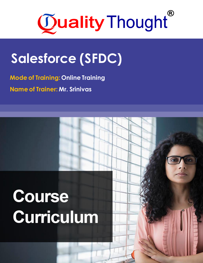

# **Salesforce (SFDC)**

**Mode of Training: Online Training Name of Trainer: Mr. Srinivas**

# Course **Curriculum**

Course Introduction ✓ **What is Angular?**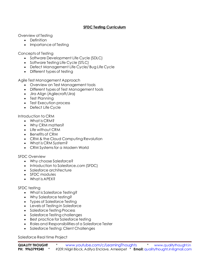## **SFDC Testing Curriculum**

Overview of Testing

- Definition
- Importance of Testing

Concepts of Testing

- Software Development Life Cycle (SDLC)
- Software Testing Life Cycle (STLC)
- Defect Management Life Cycle/ Bug Life Cycle
- Different types of testing

Agile Test Management Approach

- Overview on Test Management tools
- Different types of Test Management tools
- Jira Align (Agilecraft/Jira)
- Test Planning
- Test Execution process
- **Defect Life Cycle**

Introduction to CRM

- What is CRM?
- Why CRM matters?
- Life without CRM
- Benefits of CRM
- CRM & the Cloud Computing Revolution
- What is CRM System?
- CRM Systems for a Modern World

### SFDC Overview

- Why choose Salesforce?
- Introduction to Salesforce.com (SFDC)
- Salesforce architecture
- SFDC modules
- What is APEX?

### SFDC testing

- What is Salesforce Testing?
- Why Salesforce testing?
- Types of Salesforce Testing
- Levels of Testing in Salesforce
- Salesforce Testing Process
- Salesforce Testing challenges
- Best practice for Salesforce testing
- Roles and Responsibilities of a Salesforce Tester
- Salesforce Testing: Client Challenges

Salesforce Real time Project